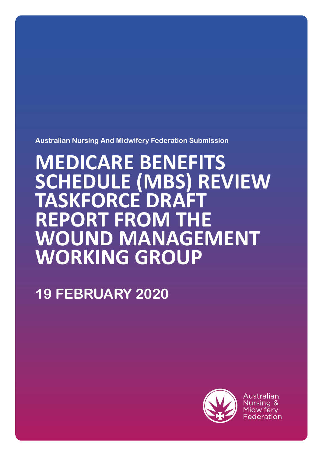**Australian Nursing And Midwifery Federation Submission**

# **MEDICARE BENEFITS SCHEDULE (MBS) REVIEW TASKFORCE DRAFT REPORT FROM THE WOUND MANAGEMENT WORKING GROUP**

## **19 FEBRUARY 2020**



Australian Nursing & Midwiferv Federation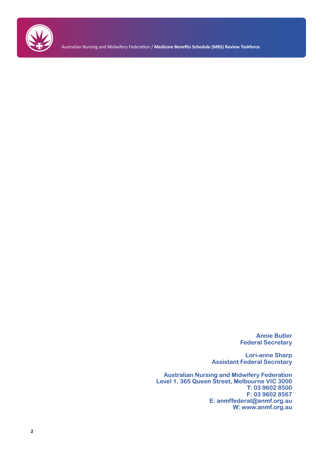

Australian Nursing and Midwifery Federation / **Medicare Benefits Schedule (MBS) Review Taskforce**

**Annie Butler Federal Secretary**

**Lori-anne Sharp Assistant Federal Secretary**

**Australian Nursing and Midwifery Federation Level 1, 365 Queen Street, Melbourne VIC 3000 T: 03 9602 8500 F: 03 9602 8567 E: anmffederal@anmf.org.au W: www.anmf.org.au**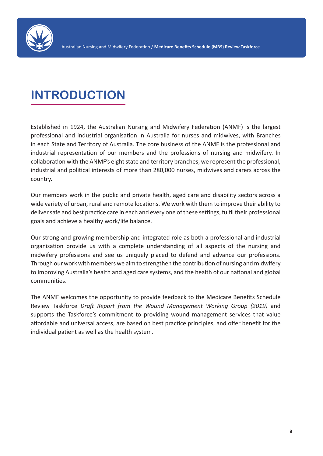

## **INTRODUCTION**

Established in 1924, the Australian Nursing and Midwifery Federation (ANMF) is the largest professional and industrial organisation in Australia for nurses and midwives, with Branches in each State and Territory of Australia. The core business of the ANMF is the professional and industrial representation of our members and the professions of nursing and midwifery. In collaboration with the ANMF's eight state and territory branches, we represent the professional, industrial and political interests of more than 280,000 nurses, midwives and carers across the country.

Our members work in the public and private health, aged care and disability sectors across a wide variety of urban, rural and remote locations. We work with them to improve their ability to deliver safe and best practice care in each and every one of these settings, fulfil their professional goals and achieve a healthy work/life balance.

Our strong and growing membership and integrated role as both a professional and industrial organisation provide us with a complete understanding of all aspects of the nursing and midwifery professions and see us uniquely placed to defend and advance our professions. Through our work with members we aim to strengthen the contribution of nursing and midwifery to improving Australia's health and aged care systems, and the health of our national and global communities.

The ANMF welcomes the opportunity to provide feedback to the Medicare Benefits Schedule Review Taskforce *Draft Report from the Wound Management Working Group (2019)* and supports the Taskforce's commitment to providing wound management services that value affordable and universal access, are based on best practice principles, and offer benefit for the individual patient as well as the health system.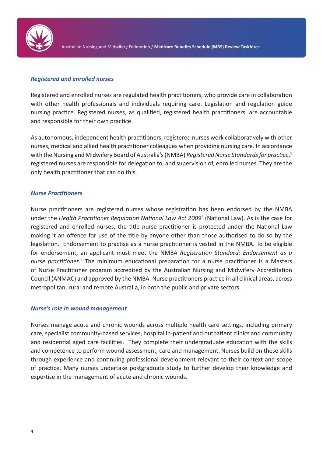

#### *Registered and enrolled nurses*

Registered and enrolled nurses are regulated health practitioners, who provide care in collaboration with other health professionals and individuals requiring care. Legislation and regulation guide nursing practice. Registered nurses, as qualified, registered health practitioners, are accountable and responsible for their own practice.

As autonomous, independent health practitioners, registered nurses work collaboratively with other nurses, medical and allied health practitioner colleagues when providing nursing care. In accordance with the Nursing and Midwifery Board of Australia's (NMBA) *Registered Nurse Standards for practice*, 1 registered nurses are responsible for delegation to, and supervision of, enrolled nurses. They are the only health practitioner that can do this.

#### *Nurse Practitioners*

Nurse practitioners are registered nurses whose registration has been endorsed by the NMBA under the *Health Practitioner Regulation National Law Act 20092* (National Law). As is the case for registered and enrolled nurses, the title nurse practitioner is protected under the National Law making it an offence for use of the title by anyone other than those authorised to do so by the legislation. Endorsement to practise as a nurse practitioner is vested in the NMBA. To be eligible for endorsement, an applicant must meet the NMBA *Registration Standard: Endorsement as a*  nurse practitioner.<sup>3</sup> The minimum educational preparation for a nurse practitioner is a Masters of Nurse Practitioner program accredited by the Australian Nursing and Midwifery Accreditation Council (ANMAC) and approved by the NMBA. Nurse practitioners practice in all clinical areas, across metropolitan, rural and remote Australia, in both the public and private sectors.

#### *Nurse's role in wound management*

Nurses manage acute and chronic wounds across multiple health care settings, including primary care, specialist community-based services, hospital in-patient and outpatient clinics and community and residential aged care facilities. They complete their undergraduate education with the skills and competence to perform wound assessment, care and management. Nurses build on these skills through experience and continuing professional development relevant to their context and scope of practice. Many nurses undertake postgraduate study to further develop their knowledge and expertise in the management of acute and chronic wounds.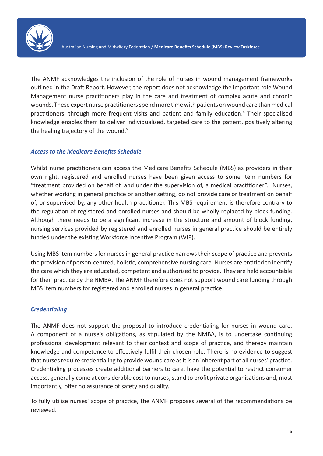

The ANMF acknowledges the inclusion of the role of nurses in wound management frameworks outlined in the Draft Report. However, the report does not acknowledge the important role Wound Management nurse practitioners play in the care and treatment of complex acute and chronic wounds. These expert nurse practitioners spend more time with patients on wound care than medical practitioners, through more frequent visits and patient and family education.<sup>4</sup> Their specialised knowledge enables them to deliver individualised, targeted care to the patient, positively altering the healing trajectory of the wound.<sup>5</sup>

#### *Access to the Medicare Benefits Schedule*

Whilst nurse practitioners can access the Medicare Benefits Schedule (MBS) as providers in their own right, registered and enrolled nurses have been given access to some item numbers for "treatment provided on behalf of, and under the supervision of, a medical practitioner".<sup>6</sup> Nurses, whether working in general practice or another setting, do not provide care or treatment on behalf of, or supervised by, any other health practitioner. This MBS requirement is therefore contrary to the regulation of registered and enrolled nurses and should be wholly replaced by block funding. Although there needs to be a significant increase in the structure and amount of block funding, nursing services provided by registered and enrolled nurses in general practice should be entirely funded under the existing Workforce Incentive Program (WIP).

Using MBS item numbers for nurses in general practice narrows their scope of practice and prevents the provision of person-centred, holistic, comprehensive nursing care. Nurses are entitled to identify the care which they are educated, competent and authorised to provide. They are held accountable for their practice by the NMBA. The ANMF therefore does not support wound care funding through MBS item numbers for registered and enrolled nurses in general practice.

### *Credentialing*

The ANMF does not support the proposal to introduce credentialing for nurses in wound care. A component of a nurse's obligations, as stipulated by the NMBA, is to undertake continuing professional development relevant to their context and scope of practice, and thereby maintain knowledge and competence to effectively fulfil their chosen role. There is no evidence to suggest that nurses require credentialing to provide wound care as it is an inherent part of all nurses' practice. Credentialing processes create additional barriers to care, have the potential to restrict consumer access, generally come at considerable cost to nurses, stand to profit private organisations and, most importantly, offer no assurance of safety and quality.

To fully utilise nurses' scope of practice, the ANMF proposes several of the recommendations be reviewed.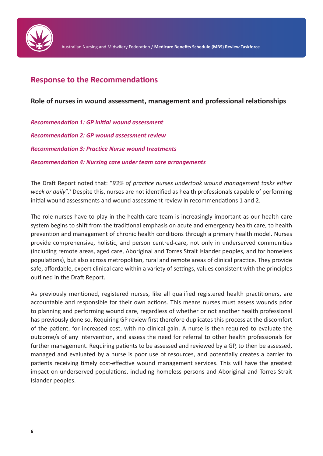

## **Response to the Recommendations**

## **Role of nurses in wound assessment, management and professional relationships**

*Recommendation 1: GP initial wound assessment Recommendation 2: GP wound assessment review Recommendation 3: Practice Nurse wound treatments Recommendation 4: Nursing care under team care arrangements*

The Draft Report noted that: "*93% of practice nurses undertook wound management tasks either*  week or daily".<sup>7</sup> Despite this, nurses are not identified as health professionals capable of performing initial wound assessments and wound assessment review in recommendations 1 and 2.

The role nurses have to play in the health care team is increasingly important as our health care system begins to shift from the traditional emphasis on acute and emergency health care, to health prevention and management of chronic health conditions through a primary health model. Nurses provide comprehensive, holistic, and person centred-care, not only in underserved communities (including remote areas, aged care, Aboriginal and Torres Strait Islander peoples, and for homeless populations), but also across metropolitan, rural and remote areas of clinical practice. They provide safe, affordable, expert clinical care within a variety of settings, values consistent with the principles outlined in the Draft Report.

As previously mentioned, registered nurses, like all qualified registered health practitioners, are accountable and responsible for their own actions. This means nurses must assess wounds prior to planning and performing wound care, regardless of whether or not another health professional has previously done so. Requiring GP review first therefore duplicates this process at the discomfort of the patient, for increased cost, with no clinical gain. A nurse is then required to evaluate the outcome/s of any intervention, and assess the need for referral to other health professionals for further management. Requiring patients to be assessed and reviewed by a GP, to then be assessed, managed and evaluated by a nurse is poor use of resources, and potentially creates a barrier to patients receiving timely cost-effective wound management services. This will have the greatest impact on underserved populations, including homeless persons and Aboriginal and Torres Strait Islander peoples.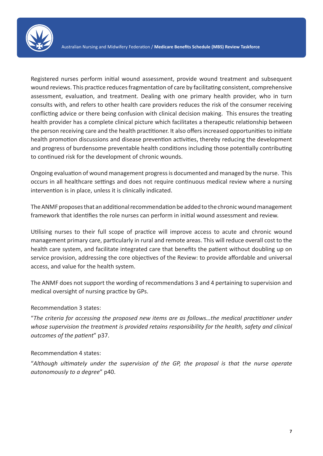

Registered nurses perform initial wound assessment, provide wound treatment and subsequent wound reviews. This practice reduces fragmentation of care by facilitating consistent, comprehensive assessment, evaluation, and treatment. Dealing with one primary health provider, who in turn consults with, and refers to other health care providers reduces the risk of the consumer receiving conflicting advice or there being confusion with clinical decision making. This ensures the treating health provider has a complete clinical picture which facilitates a therapeutic relationship between the person receiving care and the health practitioner. It also offers increased opportunities to initiate health promotion discussions and disease prevention activities, thereby reducing the development and progress of burdensome preventable health conditions including those potentially contributing to continued risk for the development of chronic wounds.

Ongoing evaluation of wound management progress is documented and managed by the nurse. This occurs in all healthcare settings and does not require continuous medical review where a nursing intervention is in place, unless it is clinically indicated.

The ANMF proposes that an additional recommendation be added to the chronic wound management framework that identifies the role nurses can perform in initial wound assessment and review.

Utilising nurses to their full scope of practice will improve access to acute and chronic wound management primary care, particularly in rural and remote areas. This will reduce overall cost to the health care system, and facilitate integrated care that benefits the patient without doubling up on service provision, addressing the core objectives of the Review: to provide affordable and universal access, and value for the health system.

The ANMF does not support the wording of recommendations 3 and 4 pertaining to supervision and medical oversight of nursing practice by GPs.

### Recommendation 3 states:

"*The criteria for accessing the proposed new items are as follows…the medical practitioner under whose supervision the treatment is provided retains responsibility for the health, safety and clinical outcomes of the patient*" p37.

### Recommendation 4 states:

"*Although ultimately under the supervision of the GP, the proposal is that the nurse operate autonomously to a degree*" p40.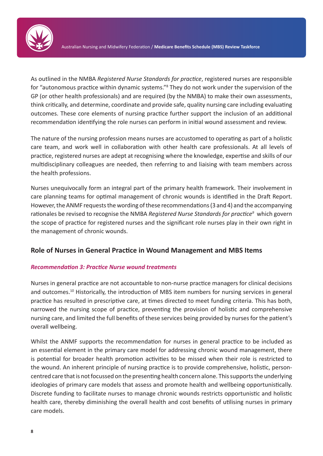

As outlined in the NMBA *Registered Nurse Standards for practice*, registered nurses are responsible for "autonomous practice within dynamic systems."<sup>8</sup> They do not work under the supervision of the GP (or other health professionals) and are required (by the NMBA) to make their own assessments, think critically, and determine, coordinate and provide safe, quality nursing care including evaluating outcomes. These core elements of nursing practice further support the inclusion of an additional recommendation identifying the role nurses can perform in initial wound assessment and review.

The nature of the nursing profession means nurses are accustomed to operating as part of a holistic care team, and work well in collaboration with other health care professionals. At all levels of practice, registered nurses are adept at recognising where the knowledge, expertise and skills of our multidisciplinary colleagues are needed, then referring to and liaising with team members across the health professions.

Nurses unequivocally form an integral part of the primary health framework. Their involvement in care planning teams for optimal management of chronic wounds is identified in the Draft Report. However, the ANMF requests the wording of these recommendations (3 and 4) and the accompanying rationales be revised to recognise the NMBA *Registered Nurse Standards for practice<sup>9</sup>* which govern the scope of practice for registered nurses and the significant role nurses play in their own right in the management of chronic wounds.

## **Role of Nurses in General Practice in Wound Management and MBS Items**

### *Recommendation 3: Practice Nurse wound treatments*

Nurses in general practice are not accountable to non-nurse practice managers for clinical decisions and outcomes.<sup>10</sup> Historically, the introduction of MBS item numbers for nursing services in general practice has resulted in prescriptive care, at times directed to meet funding criteria. This has both, narrowed the nursing scope of practice, preventing the provision of holistic and comprehensive nursing care, and limited the full benefits of these services being provided by nurses for the patient's overall wellbeing.

Whilst the ANMF supports the recommendation for nurses in general practice to be included as an essential element in the primary care model for addressing chronic wound management, there is potential for broader health promotion activities to be missed when their role is restricted to the wound. An inherent principle of nursing practice is to provide comprehensive, holistic, personcentred care that is not focussed on the presenting health concern alone. This supports the underlying ideologies of primary care models that assess and promote health and wellbeing opportunistically. Discrete funding to facilitate nurses to manage chronic wounds restricts opportunistic and holistic health care, thereby diminishing the overall health and cost benefits of utilising nurses in primary care models.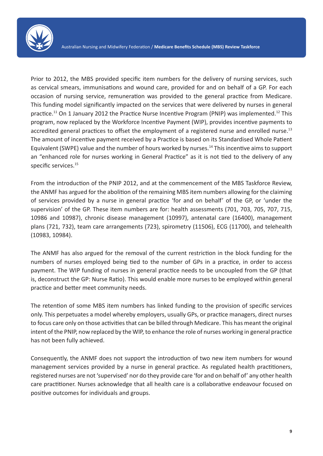

Prior to 2012, the MBS provided specific item numbers for the delivery of nursing services, such as cervical smears, immunisations and wound care, provided for and on behalf of a GP. For each occasion of nursing service, remuneration was provided to the general practice from Medicare. This funding model significantly impacted on the services that were delivered by nurses in general practice.<sup>11</sup> On 1 January 2012 the Practice Nurse Incentive Program (PNIP) was implemented.<sup>12</sup> This program, now replaced by the Workforce Incentive Payment (WIP), provides incentive payments to accredited general practices to offset the employment of a registered nurse and enrolled nurse.<sup>13</sup> The amount of incentive payment received by a Practice is based on its Standardised Whole Patient Equivalent (SWPE) value and the number of hours worked by nurses.<sup>14</sup> This incentive aims to support an "enhanced role for nurses working in General Practice" as it is not tied to the delivery of any specific services.<sup>15</sup>

From the introduction of the PNIP 2012, and at the commencement of the MBS Taskforce Review, the ANMF has argued for the abolition of the remaining MBS item numbers allowing for the claiming of services provided by a nurse in general practice 'for and on behalf' of the GP, or 'under the supervision' of the GP. These item numbers are for: health assessments (701, 703, 705, 707, 715, 10986 and 10987), chronic disease management (10997), antenatal care (16400), management plans (721, 732), team care arrangements (723), spirometry (11506), ECG (11700), and telehealth (10983, 10984).

The ANMF has also argued for the removal of the current restriction in the block funding for the numbers of nurses employed being tied to the number of GPs in a practice, in order to access payment. The WIP funding of nurses in general practice needs to be uncoupled from the GP (that is, deconstruct the GP: Nurse Ratio). This would enable more nurses to be employed within general practice and better meet community needs.

The retention of some MBS item numbers has linked funding to the provision of specific services only. This perpetuates a model whereby employers, usually GPs, or practice managers, direct nurses to focus care only on those activities that can be billed through Medicare. This has meant the original intent of the PNIP, now replaced by the WIP, to enhance the role of nurses working in general practice has not been fully achieved.

Consequently, the ANMF does not support the introduction of two new item numbers for wound management services provided by a nurse in general practice. As regulated health practitioners, registered nurses are not 'supervised' nor do they provide care 'for and on behalf of' any other health care practitioner. Nurses acknowledge that all health care is a collaborative endeavour focused on positive outcomes for individuals and groups.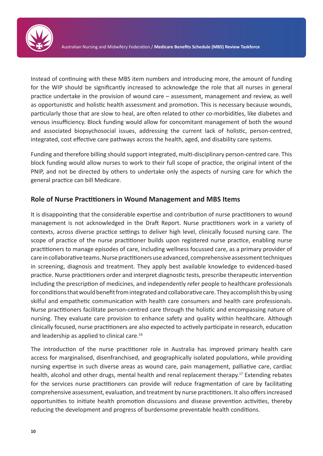

Instead of continuing with these MBS item numbers and introducing more, the amount of funding for the WIP should be significantly increased to acknowledge the role that all nurses in general practice undertake in the provision of wound care – assessment, management and review, as well as opportunistic and holistic health assessment and promotion. This is necessary because wounds, particularly those that are slow to heal, are often related to other co-morbidities, like diabetes and venous insufficiency. Block funding would allow for concomitant management of both the wound and associated biopsychosocial issues, addressing the current lack of holistic, person-centred, integrated, cost effective care pathways across the health, aged, and disability care systems.

Funding and therefore billing should support integrated, multi-disciplinary person-centred care. This block funding would allow nurses to work to their full scope of practice, the original intent of the PNIP, and not be directed by others to undertake only the aspects of nursing care for which the general practice can bill Medicare.

## **Role of Nurse Practitioners in Wound Management and MBS Items**

It is disappointing that the considerable expertise and contribution of nurse practitioners to wound management is not acknowledged in the Draft Report. Nurse practitioners work in a variety of contexts, across diverse practice settings to deliver high level, clinically focused nursing care. The scope of practice of the nurse practitioner builds upon registered nurse practice, enabling nurse practitioners to manage episodes of care, including wellness focussed care, as a primary provider of care in collaborative teams. Nurse practitioners use advanced, comprehensive assessment techniques in screening, diagnosis and treatment. They apply best available knowledge to evidenced-based practice. Nurse practitioners order and interpret diagnostic tests, prescribe therapeutic intervention including the prescription of medicines, and independently refer people to healthcare professionals for conditions that would benefit from integrated and collaborative care. They accomplish this by using skilful and empathetic communication with health care consumers and health care professionals. Nurse practitioners facilitate person-centred care through the holistic and encompassing nature of nursing. They evaluate care provision to enhance safety and quality within healthcare. Although clinically focused, nurse practitioners are also expected to actively participate in research, education and leadership as applied to clinical care.<sup>16</sup>

The introduction of the nurse practitioner role in Australia has improved primary health care access for marginalised, disenfranchised, and geographically isolated populations, while providing nursing expertise in such diverse areas as wound care, pain management, palliative care, cardiac health, alcohol and other drugs, mental health and renal replacement therapy.<sup>17</sup> Extending rebates for the services nurse practitioners can provide will reduce fragmentation of care by facilitating comprehensive assessment, evaluation, and treatment by nurse practitioners. It also offers increased opportunities to initiate health promotion discussions and disease prevention activities, thereby reducing the development and progress of burdensome preventable health conditions.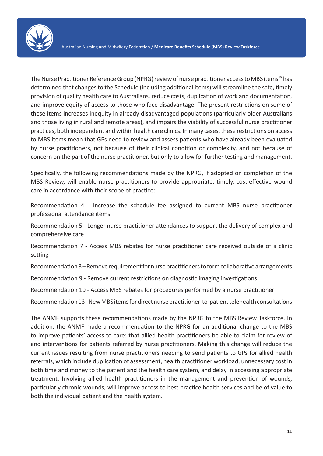

The Nurse Practitioner Reference Group (NPRG) review of nurse practitioner access to MBS items<sup>18</sup> has determined that changes to the Schedule (including additional items) will streamline the safe, timely provision of quality health care to Australians, reduce costs, duplication of work and documentation, and improve equity of access to those who face disadvantage. The present restrictions on some of these items increases inequity in already disadvantaged populations (particularly older Australians and those living in rural and remote areas), and impairs the viability of successful nurse practitioner practices, both independent and within health care clinics. In many cases, these restrictions on access to MBS items mean that GPs need to review and assess patients who have already been evaluated by nurse practitioners, not because of their clinical condition or complexity, and not because of concern on the part of the nurse practitioner, but only to allow for further testing and management.

Specifically, the following recommendations made by the NPRG, if adopted on completion of the MBS Review, will enable nurse practitioners to provide appropriate, timely, cost-effective wound care in accordance with their scope of practice:

Recommendation 4 - Increase the schedule fee assigned to current MBS nurse practitioner professional attendance items

Recommendation 5 - Longer nurse practitioner attendances to support the delivery of complex and comprehensive care

Recommendation 7 - Access MBS rebates for nurse practitioner care received outside of a clinic setting

Recommendation 8 – Remove requirement for nurse practitioners to form collaborative arrangements

Recommendation 9 - Remove current restrictions on diagnostic imaging investigations

Recommendation 10 - Access MBS rebates for procedures performed by a nurse practitioner

Recommendation 13 - New MBS items for direct nurse practitioner-to-patient telehealth consultations

The ANMF supports these recommendations made by the NPRG to the MBS Review Taskforce. In addition, the ANMF made a recommendation to the NPRG for an additional change to the MBS to improve patients' access to care: that allied health practitioners be able to claim for review of and interventions for patients referred by nurse practitioners. Making this change will reduce the current issues resulting from nurse practitioners needing to send patients to GPs for allied health referrals, which include duplication of assessment, health practitioner workload, unnecessary cost in both time and money to the patient and the health care system, and delay in accessing appropriate treatment. Involving allied health practitioners in the management and prevention of wounds, particularly chronic wounds, will improve access to best practice health services and be of value to both the individual patient and the health system.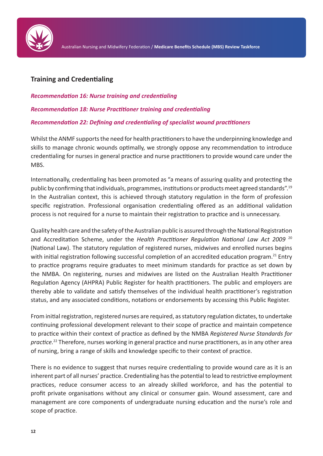

## **Training and Credentialing**

*Recommendation 16: Nurse training and credentialing*

*Recommendation 18: Nurse Practitioner training and credentialing*

## *Recommendation 22: Defining and credentialing of specialist wound practitioners*

Whilst the ANMF supports the need for health practitioners to have the underpinning knowledge and skills to manage chronic wounds optimally, we strongly oppose any recommendation to introduce credentialing for nurses in general practice and nurse practitioners to provide wound care under the MBS.

Internationally, credentialing has been promoted as "a means of assuring quality and protecting the public by confirming that individuals, programmes, institutions or products meet agreed standards".<sup>19</sup> In the Australian context, this is achieved through statutory regulation in the form of profession specific registration. Professional organisation credentialing offered as an additional validation process is not required for a nurse to maintain their registration to practice and is unnecessary.

Quality health care and the safety of the Australian public is assured through the National Registration and Accreditation Scheme, under the *Health Practitioner Regulation National Law Act 2009* <sup>20</sup> (National Law). The statutory regulation of registered nurses, midwives and enrolled nurses begins with initial registration following successful completion of an accredited education program.<sup>21</sup> Entry to practice programs require graduates to meet minimum standards for practice as set down by the NMBA. On registering, nurses and midwives are listed on the Australian Health Practitioner Regulation Agency (AHPRA) Public Register for health practitioners. The public and employers are thereby able to validate and satisfy themselves of the individual health practitioner's registration status, and any associated conditions, notations or endorsements by accessing this Public Register.

From initial registration, registered nurses are required, as statutory regulation dictates, to undertake continuing professional development relevant to their scope of practice and maintain competence to practice within their context of practice as defined by the NMBA *Registered Nurse Standards for practice.*<sup>22</sup> Therefore, nurses working in general practice and nurse practitioners, as in any other area of nursing, bring a range of skills and knowledge specific to their context of practice.

There is no evidence to suggest that nurses require credentialing to provide wound care as it is an inherent part of all nurses' practice. Credentialing has the potential to lead to restrictive employment practices, reduce consumer access to an already skilled workforce, and has the potential to profit private organisations without any clinical or consumer gain. Wound assessment, care and management are core components of undergraduate nursing education and the nurse's role and scope of practice.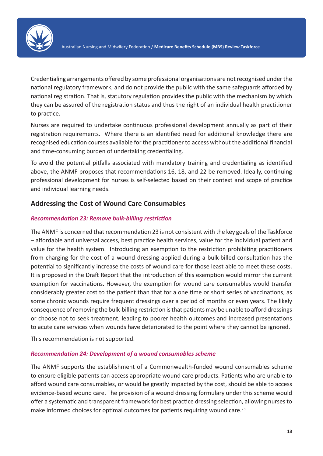

Credentialing arrangements offered by some professional organisations are not recognised under the national regulatory framework, and do not provide the public with the same safeguards afforded by national registration. That is, statutory regulation provides the public with the mechanism by which they can be assured of the registration status and thus the right of an individual health practitioner to practice.

Nurses are required to undertake continuous professional development annually as part of their registration requirements. Where there is an identified need for additional knowledge there are recognised education courses available for the practitioner to access without the additional financial and time-consuming burden of undertaking credentialing.

To avoid the potential pitfalls associated with mandatory training and credentialing as identified above, the ANMF proposes that recommendations 16, 18, and 22 be removed. Ideally, continuing professional development for nurses is self-selected based on their context and scope of practice and individual learning needs.

## **Addressing the Cost of Wound Care Consumables**

### *Recommendation 23: Remove bulk-billing restriction*

The ANMF is concerned that recommendation 23 is not consistent with the key goals of the Taskforce – affordable and universal access, best practice health services, value for the individual patient and value for the health system. Introducing an exemption to the restriction prohibiting practitioners from charging for the cost of a wound dressing applied during a bulk-billed consultation has the potential to significantly increase the costs of wound care for those least able to meet these costs. It is proposed in the Draft Report that the introduction of this exemption would mirror the current exemption for vaccinations. However, the exemption for wound care consumables would transfer considerably greater cost to the patient than that for a one time or short series of vaccinations, as some chronic wounds require frequent dressings over a period of months or even years. The likely consequence of removing the bulk-billing restriction is that patients may be unable to afford dressings or choose not to seek treatment, leading to poorer health outcomes and increased presentations to acute care services when wounds have deteriorated to the point where they cannot be ignored.

This recommendation is not supported.

#### *Recommendation 24: Development of a wound consumables scheme*

The ANMF supports the establishment of a Commonwealth-funded wound consumables scheme to ensure eligible patients can access appropriate wound care products. Patients who are unable to afford wound care consumables, or would be greatly impacted by the cost, should be able to access evidence-based wound care. The provision of a wound dressing formulary under this scheme would offer a systematic and transparent framework for best practice dressing selection, allowing nurses to make informed choices for optimal outcomes for patients requiring wound care.<sup>23</sup>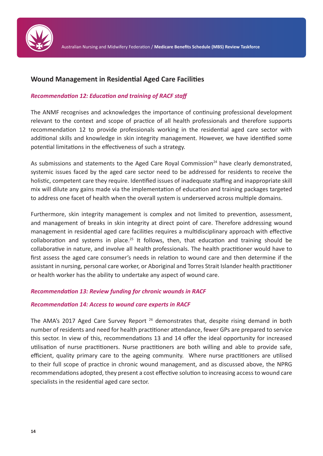

## **Wound Management in Residential Aged Care Facilities**

#### *Recommendation 12: Education and training of RACF staff*

The ANMF recognises and acknowledges the importance of continuing professional development relevant to the context and scope of practice of all health professionals and therefore supports recommendation 12 to provide professionals working in the residential aged care sector with additional skills and knowledge in skin integrity management. However, we have identified some potential limitations in the effectiveness of such a strategy.

As submissions and statements to the Aged Care Royal Commission<sup>24</sup> have clearly demonstrated. systemic issues faced by the aged care sector need to be addressed for residents to receive the holistic, competent care they require. Identified issues of inadequate staffing and inappropriate skill mix will dilute any gains made via the implementation of education and training packages targeted to address one facet of health when the overall system is underserved across multiple domains.

Furthermore, skin integrity management is complex and not limited to prevention, assessment, and management of breaks in skin integrity at direct point of care. Therefore addressing wound management in residential aged care facilities requires a multidisciplinary approach with effective collaboration and systems in place.<sup>25</sup> It follows, then, that education and training should be collaborative in nature, and involve all health professionals. The health practitioner would have to first assess the aged care consumer's needs in relation to wound care and then determine if the assistant in nursing, personal care worker, or Aboriginal and Torres Strait Islander health practitioner or health worker has the ability to undertake any aspect of wound care.

#### *Recommendation 13: Review funding for chronic wounds in RACF*

#### *Recommendation 14: Access to wound care experts in RACF*

The AMA's 2017 Aged Care Survey Report  $26$  demonstrates that, despite rising demand in both number of residents and need for health practitioner attendance, fewer GPs are prepared to service this sector. In view of this, recommendations 13 and 14 offer the ideal opportunity for increased utilisation of nurse practitioners. Nurse practitioners are both willing and able to provide safe, efficient, quality primary care to the ageing community. Where nurse practitioners are utilised to their full scope of practice in chronic wound management, and as discussed above, the NPRG recommendations adopted, they present a cost effective solution to increasing access to wound care specialists in the residential aged care sector.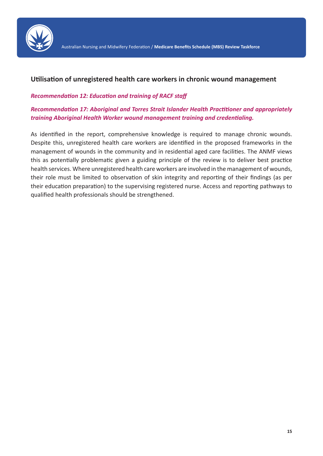

## **Utilisation of unregistered health care workers in chronic wound management**

#### *Recommendation 12: Education and training of RACF staff*

## *Recommendation 17: Aboriginal and Torres Strait Islander Health Practitioner and appropriately training Aboriginal Health Worker wound management training and credentialing.*

As identified in the report, comprehensive knowledge is required to manage chronic wounds. Despite this, unregistered health care workers are identified in the proposed frameworks in the management of wounds in the community and in residential aged care facilities. The ANMF views this as potentially problematic given a guiding principle of the review is to deliver best practice health services. Where unregistered health care workers are involved in the management of wounds, their role must be limited to observation of skin integrity and reporting of their findings (as per their education preparation) to the supervising registered nurse. Access and reporting pathways to qualified health professionals should be strengthened.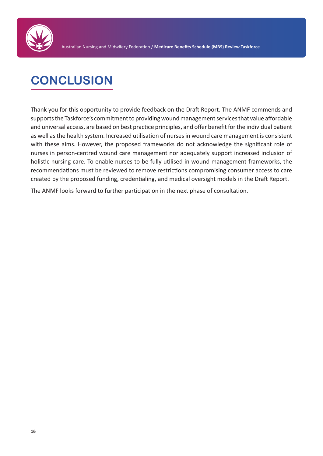

## **CONCLUSION**

Thank you for this opportunity to provide feedback on the Draft Report. The ANMF commends and supports the Taskforce's commitment to providing wound management services that value affordable and universal access, are based on best practice principles, and offer benefit for the individual patient as well as the health system. Increased utilisation of nurses in wound care management is consistent with these aims. However, the proposed frameworks do not acknowledge the significant role of nurses in person-centred wound care management nor adequately support increased inclusion of holistic nursing care. To enable nurses to be fully utilised in wound management frameworks, the recommendations must be reviewed to remove restrictions compromising consumer access to care created by the proposed funding, credentialing, and medical oversight models in the Draft Report.

The ANMF looks forward to further participation in the next phase of consultation.